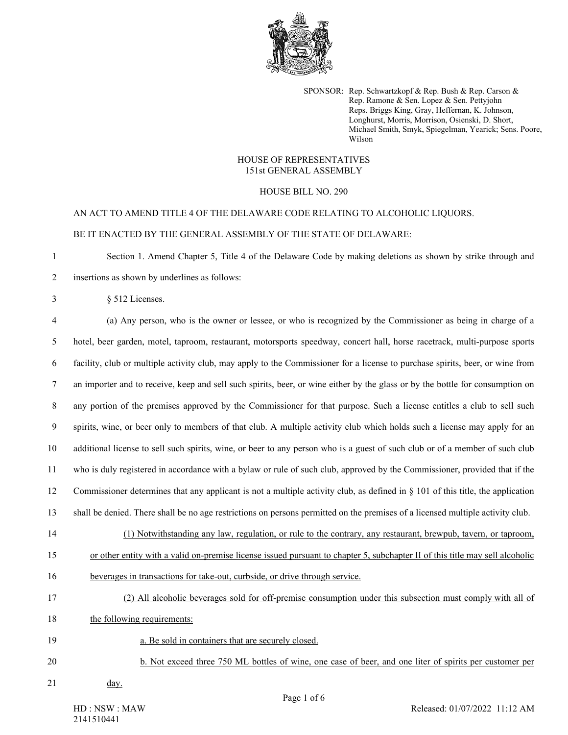

SPONSOR: Rep. Schwartzkopf & Rep. Bush & Rep. Carson & Rep. Ramone & Sen. Lopez & Sen. Pettyjohn Reps. Briggs King, Gray, Heffernan, K. Johnson, Longhurst, Morris, Morrison, Osienski, D. Short, Michael Smith, Smyk, Spiegelman, Yearick; Sens. Poore, Wilson

## HOUSE OF REPRESENTATIVES 151st GENERAL ASSEMBLY

## HOUSE BILL NO. 290

## AN ACT TO AMEND TITLE 4 OF THE DELAWARE CODE RELATING TO ALCOHOLIC LIQUORS. BE IT ENACTED BY THE GENERAL ASSEMBLY OF THE STATE OF DELAWARE:

1 Section 1. Amend Chapter 5, Title 4 of the Delaware Code by making deletions as shown by strike through and 2 insertions as shown by underlines as follows:

3 § 512 Licenses.

4 (a) Any person, who is the owner or lessee, or who is recognized by the Commissioner as being in charge of a 5 hotel, beer garden, motel, taproom, restaurant, motorsports speedway, concert hall, horse racetrack, multi-purpose sports 6 facility, club or multiple activity club, may apply to the Commissioner for a license to purchase spirits, beer, or wine from 7 an importer and to receive, keep and sell such spirits, beer, or wine either by the glass or by the bottle for consumption on 8 any portion of the premises approved by the Commissioner for that purpose. Such a license entitles a club to sell such 9 spirits, wine, or beer only to members of that club. A multiple activity club which holds such a license may apply for an 10 additional license to sell such spirits, wine, or beer to any person who is a guest of such club or of a member of such club 11 who is duly registered in accordance with a bylaw or rule of such club, approved by the Commissioner, provided that if the 12 Commissioner determines that any applicant is not a multiple activity club, as defined in § 101 of this title, the application 13 shall be denied. There shall be no age restrictions on persons permitted on the premises of a licensed multiple activity club. 14 (1) Notwithstanding any law, regulation, or rule to the contrary, any restaurant, brewpub, tavern, or taproom, 15 or other entity with a valid on-premise license issued pursuant to chapter 5, subchapter II of this title may sell alcoholic 16 beverages in transactions for take-out, curbside, or drive through service. 17 (2) All alcoholic beverages sold for off-premise consumption under this subsection must comply with all of

18 the following requirements:

19 a. Be sold in containers that are securely closed.

20 b. Not exceed three 750 ML bottles of wine, one case of beer, and one liter of spirits per customer per

21 day.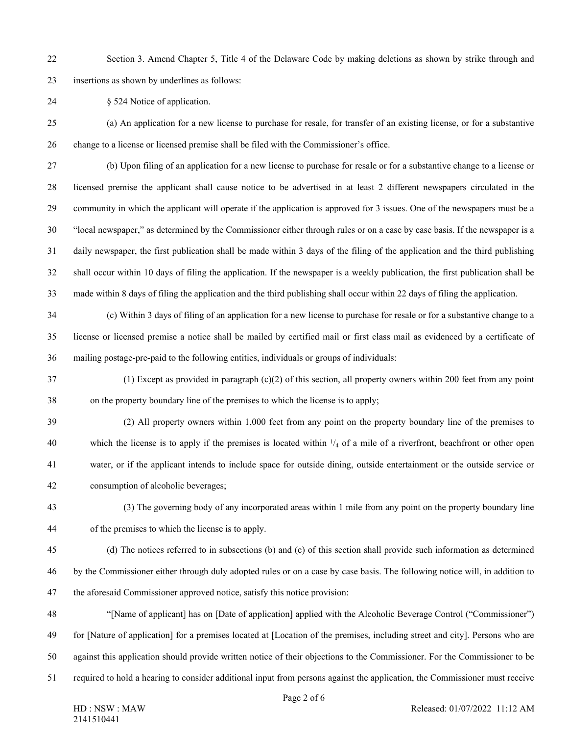22 Section 3. Amend Chapter 5, Title 4 of the Delaware Code by making deletions as shown by strike through and 23 insertions as shown by underlines as follows:

24 § 524 Notice of application.

25 (a) An application for a new license to purchase for resale, for transfer of an existing license, or for a substantive 26 change to a license or licensed premise shall be filed with the Commissioner's office.

27 (b) Upon filing of an application for a new license to purchase for resale or for a substantive change to a license or 28 licensed premise the applicant shall cause notice to be advertised in at least 2 different newspapers circulated in the 29 community in which the applicant will operate if the application is approved for 3 issues. One of the newspapers must be a 30 "local newspaper," as determined by the Commissioner either through rules or on a case by case basis. If the newspaper is a 31 daily newspaper, the first publication shall be made within 3 days of the filing of the application and the third publishing 32 shall occur within 10 days of filing the application. If the newspaper is a weekly publication, the first publication shall be 33 made within 8 days of filing the application and the third publishing shall occur within 22 days of filing the application.

34 (c) Within 3 days of filing of an application for a new license to purchase for resale or for a substantive change to a 35 license or licensed premise a notice shall be mailed by certified mail or first class mail as evidenced by a certificate of 36 mailing postage-pre-paid to the following entities, individuals or groups of individuals:

- 37 (1) Except as provided in paragraph (c)(2) of this section, all property owners within 200 feet from any point 38 on the property boundary line of the premises to which the license is to apply;
- 39 (2) All property owners within 1,000 feet from any point on the property boundary line of the premises to 40 which the license is to apply if the premises is located within  $\frac{1}{4}$  of a mile of a riverfront, beachfront or other open 41 water, or if the applicant intends to include space for outside dining, outside entertainment or the outside service or 42 consumption of alcoholic beverages;
- 43 (3) The governing body of any incorporated areas within 1 mile from any point on the property boundary line 44 of the premises to which the license is to apply.
- 45 (d) The notices referred to in subsections (b) and (c) of this section shall provide such information as determined 46 by the Commissioner either through duly adopted rules or on a case by case basis. The following notice will, in addition to 47 the aforesaid Commissioner approved notice, satisfy this notice provision:
- 48 "[Name of applicant] has on [Date of application] applied with the Alcoholic Beverage Control ("Commissioner") 49 for [Nature of application] for a premises located at [Location of the premises, including street and city]. Persons who are 50 against this application should provide written notice of their objections to the Commissioner. For the Commissioner to be 51 required to hold a hearing to consider additional input from persons against the application, the Commissioner must receive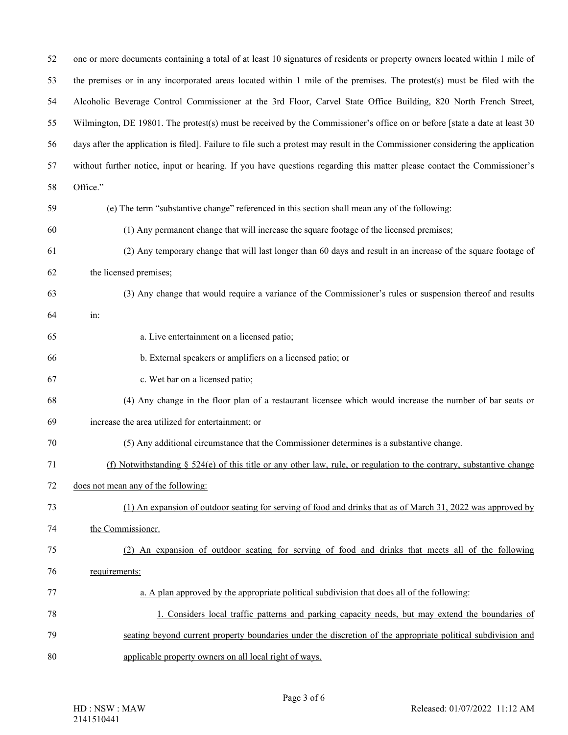| 52 | one or more documents containing a total of at least 10 signatures of residents or property owners located within 1 mile of     |
|----|---------------------------------------------------------------------------------------------------------------------------------|
| 53 | the premises or in any incorporated areas located within 1 mile of the premises. The protest(s) must be filed with the          |
| 54 | Alcoholic Beverage Control Commissioner at the 3rd Floor, Carvel State Office Building, 820 North French Street,                |
| 55 | Wilmington, DE 19801. The protest(s) must be received by the Commissioner's office on or before [state a date at least 30       |
| 56 | days after the application is filed]. Failure to file such a protest may result in the Commissioner considering the application |
| 57 | without further notice, input or hearing. If you have questions regarding this matter please contact the Commissioner's         |
| 58 | Office."                                                                                                                        |
| 59 | (e) The term "substantive change" referenced in this section shall mean any of the following:                                   |
| 60 | (1) Any permanent change that will increase the square footage of the licensed premises;                                        |
| 61 | (2) Any temporary change that will last longer than 60 days and result in an increase of the square footage of                  |
| 62 | the licensed premises;                                                                                                          |
| 63 | (3) Any change that would require a variance of the Commissioner's rules or suspension thereof and results                      |
| 64 | in:                                                                                                                             |
| 65 | a. Live entertainment on a licensed patio;                                                                                      |
| 66 | b. External speakers or amplifiers on a licensed patio; or                                                                      |
| 67 | c. Wet bar on a licensed patio;                                                                                                 |
| 68 | (4) Any change in the floor plan of a restaurant licensee which would increase the number of bar seats or                       |
| 69 | increase the area utilized for entertainment; or                                                                                |
| 70 | (5) Any additional circumstance that the Commissioner determines is a substantive change.                                       |
| 71 | (f) Notwithstanding $\S$ 524(e) of this title or any other law, rule, or regulation to the contrary, substantive change         |
| 72 | does not mean any of the following:                                                                                             |
| 73 | (1) An expansion of outdoor seating for serving of food and drinks that as of March 31, 2022 was approved by                    |
| 74 | the Commissioner.                                                                                                               |
| 75 | (2) An expansion of outdoor seating for serving of food and drinks that meets all of the following                              |
| 76 | requirements:                                                                                                                   |
| 77 | a. A plan approved by the appropriate political subdivision that does all of the following:                                     |
| 78 | 1. Considers local traffic patterns and parking capacity needs, but may extend the boundaries of                                |
| 79 | seating beyond current property boundaries under the discretion of the appropriate political subdivision and                    |
| 80 | applicable property owners on all local right of ways.                                                                          |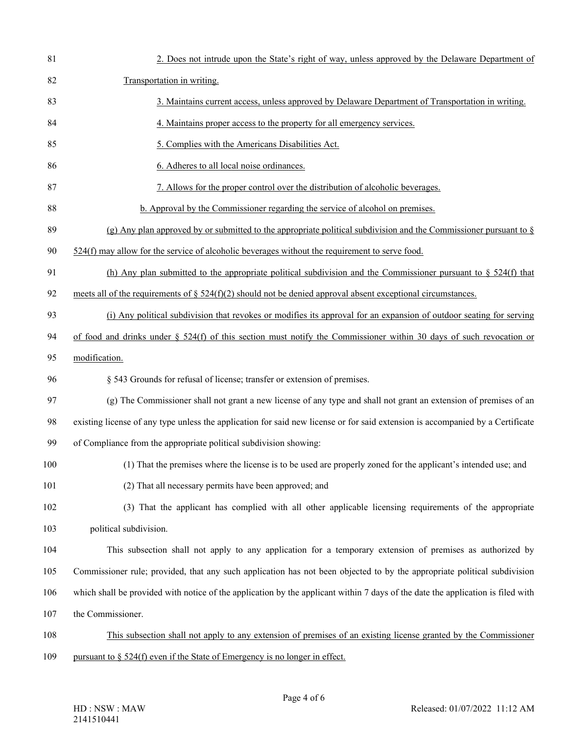| 81  | 2. Does not intrude upon the State's right of way, unless approved by the Delaware Department of                                |
|-----|---------------------------------------------------------------------------------------------------------------------------------|
| 82  | Transportation in writing.                                                                                                      |
| 83  | 3. Maintains current access, unless approved by Delaware Department of Transportation in writing.                               |
| 84  | 4. Maintains proper access to the property for all emergency services.                                                          |
| 85  | 5. Complies with the Americans Disabilities Act.                                                                                |
| 86  | 6. Adheres to all local noise ordinances.                                                                                       |
| 87  | 7. Allows for the proper control over the distribution of alcoholic beverages.                                                  |
| 88  | b. Approval by the Commissioner regarding the service of alcohol on premises.                                                   |
| 89  | (g) Any plan approved by or submitted to the appropriate political subdivision and the Commissioner pursuant to $\S$            |
| 90  | $524(f)$ may allow for the service of alcoholic beverages without the requirement to serve food.                                |
| 91  | (h) Any plan submitted to the appropriate political subdivision and the Commissioner pursuant to $\S$ 524(f) that               |
| 92  | meets all of the requirements of $\S$ 524(f)(2) should not be denied approval absent exceptional circumstances.                 |
| 93  | (i) Any political subdivision that revokes or modifies its approval for an expansion of outdoor seating for serving             |
| 94  | of food and drinks under $\S$ 524(f) of this section must notify the Commissioner within 30 days of such revocation or          |
| 95  | modification.                                                                                                                   |
| 96  | § 543 Grounds for refusal of license; transfer or extension of premises.                                                        |
| 97  | (g) The Commissioner shall not grant a new license of any type and shall not grant an extension of premises of an               |
| 98  | existing license of any type unless the application for said new license or for said extension is accompanied by a Certificate  |
| 99  | of Compliance from the appropriate political subdivision showing:                                                               |
| 100 | (1) That the premises where the license is to be used are properly zoned for the applicant's intended use; and                  |
| 101 | (2) That all necessary permits have been approved; and                                                                          |
| 102 | (3) That the applicant has complied with all other applicable licensing requirements of the appropriate                         |
| 103 | political subdivision.                                                                                                          |
| 104 | This subsection shall not apply to any application for a temporary extension of premises as authorized by                       |
| 105 | Commissioner rule; provided, that any such application has not been objected to by the appropriate political subdivision        |
| 106 | which shall be provided with notice of the application by the applicant within 7 days of the date the application is filed with |
| 107 | the Commissioner.                                                                                                               |
| 108 | This subsection shall not apply to any extension of premises of an existing license granted by the Commissioner                 |
| 109 | pursuant to $\S$ 524(f) even if the State of Emergency is no longer in effect.                                                  |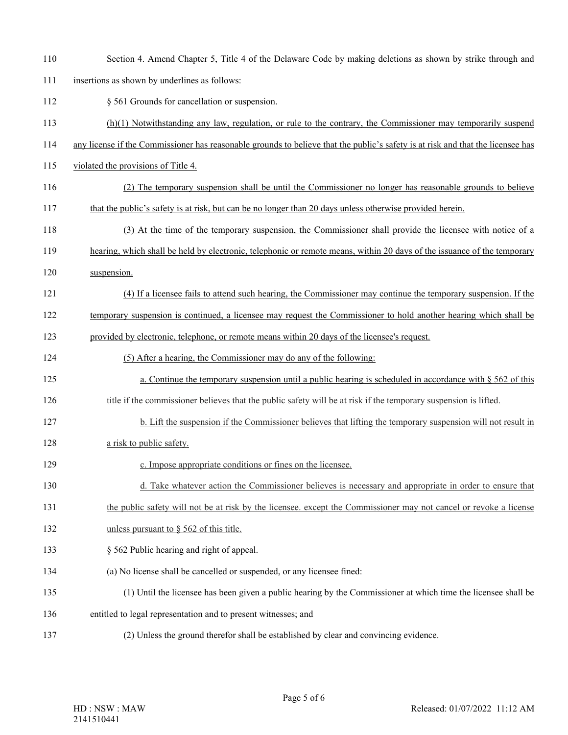| 110 | Section 4. Amend Chapter 5, Title 4 of the Delaware Code by making deletions as shown by strike through and                     |
|-----|---------------------------------------------------------------------------------------------------------------------------------|
| 111 | insertions as shown by underlines as follows:                                                                                   |
| 112 | § 561 Grounds for cancellation or suspension.                                                                                   |
| 113 | $(h)(1)$ Notwithstanding any law, regulation, or rule to the contrary, the Commissioner may temporarily suspend                 |
| 114 | any license if the Commissioner has reasonable grounds to believe that the public's safety is at risk and that the licensee has |
| 115 | violated the provisions of Title 4.                                                                                             |
| 116 | (2) The temporary suspension shall be until the Commissioner no longer has reasonable grounds to believe                        |
| 117 | that the public's safety is at risk, but can be no longer than 20 days unless otherwise provided herein.                        |
| 118 | (3) At the time of the temporary suspension, the Commissioner shall provide the licensee with notice of a                       |
| 119 | hearing, which shall be held by electronic, telephonic or remote means, within 20 days of the issuance of the temporary         |
| 120 | suspension.                                                                                                                     |
| 121 | (4) If a licensee fails to attend such hearing, the Commissioner may continue the temporary suspension. If the                  |
| 122 | temporary suspension is continued, a licensee may request the Commissioner to hold another hearing which shall be               |
| 123 | provided by electronic, telephone, or remote means within 20 days of the licensee's request.                                    |
| 124 | (5) After a hearing, the Commissioner may do any of the following:                                                              |
| 125 | a. Continue the temporary suspension until a public hearing is scheduled in accordance with $\S 562$ of this                    |
| 126 | title if the commissioner believes that the public safety will be at risk if the temporary suspension is lifted.                |
| 127 | b. Lift the suspension if the Commissioner believes that lifting the temporary suspension will not result in                    |
| 128 | a risk to public safety.                                                                                                        |
| 129 | c. Impose appropriate conditions or fines on the licensee.                                                                      |
| 130 | d. Take whatever action the Commissioner believes is necessary and appropriate in order to ensure that                          |
| 131 | the public safety will not be at risk by the licensee, except the Commissioner may not cancel or revoke a license               |
| 132 | unless pursuant to $\S$ 562 of this title.                                                                                      |
| 133 | § 562 Public hearing and right of appeal.                                                                                       |
| 134 | (a) No license shall be cancelled or suspended, or any licensee fined:                                                          |
| 135 | (1) Until the licensee has been given a public hearing by the Commissioner at which time the licensee shall be                  |
| 136 | entitled to legal representation and to present witnesses; and                                                                  |
| 137 | (2) Unless the ground therefor shall be established by clear and convincing evidence.                                           |